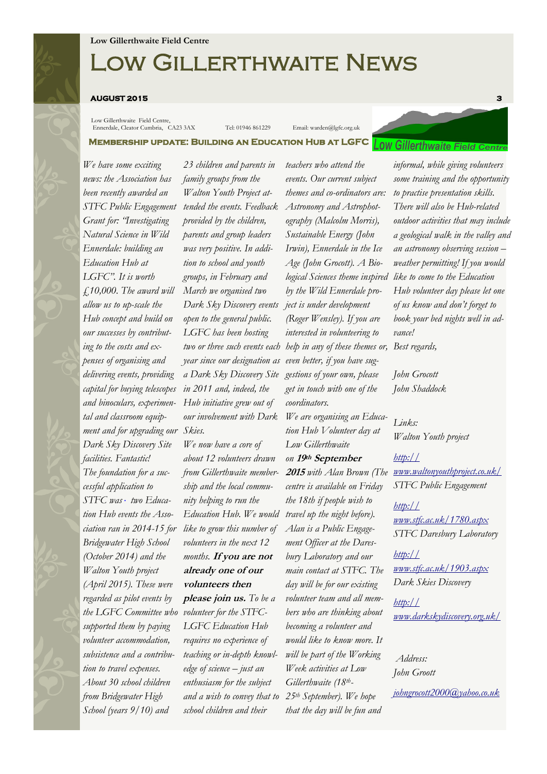# Low Gillerthwaite News

#### **AUGUST 2015 3**

Low Gillerthwaite Field Centre, Ennerdale, Cleator Cumbria, CA23 3AX Tel: 01946 861229 Email: warden@lgfc.org.uk

**Membership update: Building an Education Hub at LGFC** 

*We have some exciting news: the Association has been recently awarded an STFC Public Engagement Grant for: "Investigating Natural Science in Wild Ennerdale: building an Education Hub at LGFC". It is worth £10,000. The award will allow us to up-scale the Hub concept and build on our successes by contributing to the costs and expenses of organising and delivering events, providing capital for buying telescopes and binoculars, experimental and classroom equipment and for upgrading our Skies. Dark Sky Discovery Site facilities. Fantastic! The foundation for a successful application to STFC was two Education Hub events the Association ran in 2014-15 for Bridgewater High School (October 2014) and the Walton Youth project (April 2015). These were regarded as pilot events by the LGFC Committee who volunteer for the STFCsupported them by paying volunteer accommodation, subsistence and a contribution to travel expenses. About 30 school children from Bridgewater High School (years 9/10) and* 

*23 children and parents in family groups from the Walton Youth Project attended the events. Feedback provided by the children, parents and group leaders was very positive. In addition to school and youth groups, in February and March we organised two Dark Sky Discovery events open to the general public. LGFC has been hosting year since our designation as a Dark Sky Discovery Site gestions of your own, please in 2011 and, indeed, the Hub initiative grew out of our involvement with Dark* 

*We now have a core of about 12 volunteers drawn from Gillerthwaite membership and the local community helping to run the like to grow this number of volunteers in the next 12 months.* **If you are not already one of our volunteers then please join us.** *To be a LGFC Education Hub requires no experience of teaching or in-depth knowledge of science – just an enthusiasm for the subject and a wish to convey that to school children and their* 

*two or three such events each help in any of these themes or, teachers who attend the events. Our current subject themes and co-ordinators are: Astronomy and Astrophotography (Malcolm Morris), Sustainable Energy (John Irwin), Ennerdale in the Ice Age (John Grocott). A Biological Sciences theme inspired by the Wild Ennerdale project is under development (Roger Wensley). If you are interested in volunteering to even better, if you have sugget in touch with one of the coordinators.*

*Education Hub. We would travel up the night before). We are organising an Education Hub Volunteer day at Low Gillerthwaite on* **<sup>19</sup>th September <sup>2015</sup>** *with Alan Brown (The centre is available on Friday the 18th if people wish to Alan is a Public Engagement Officer at the Daresbury Laboratory and our main contact at STFC. The day will be for our existing volunteer team and all members who are thinking about becoming a volunteer and would like to know more. It will be part of the Working Week activities at Low Gillerthwaite (18th-25th September). We hope that the day will be fun and* 



*some training and the opportunity to practise presentation skills. There will also be Hub-related outdoor activities that may include a geological walk in the valley and an astronomy observing session – weather permitting! If you would like to come to the Education Hub volunteer day please let one of us know and don't forget to book your bed nights well in advance!*

*Best regards,*

*John Grocott John Shaddock*

*Links: Walton Youth project*

*[http://](http://www.waltonyouthproject.co.uk/) [www.waltonyouthproject.co.uk/](http://www.waltonyouthproject.co.uk/) STFC Public Engagement*

*[http://](http://www.stfc.ac.uk/1780.aspx) [www.stfc.ac.uk/1780.aspx](http://www.stfc.ac.uk/1780.aspx) STFC Daresbury Laboratory*

*[http://](http://www.stfc.ac.uk/1903.aspx) [www.stfc.ac.uk/1903.aspx](http://www.stfc.ac.uk/1903.aspx) Dark Skies Discovery*

*[http://](http://www.darkskydiscovery.org.uk/) [www.darkskydiscovery.org.uk/](http://www.darkskydiscovery.org.uk/)*

*Address: John Groott*

*[johngrocott2000@yahoo.co.uk](mailto:johngrocott2000@yahoo.co.uk)*